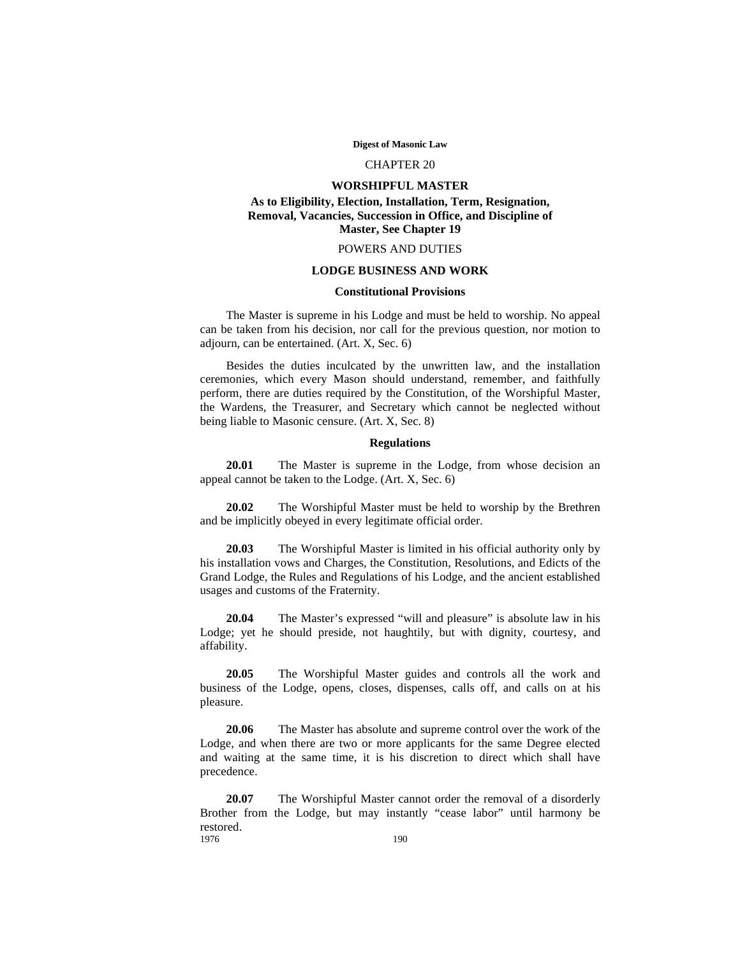**Digest of Masonic Law**

## CHAPTER 20

# **WORSHIPFUL MASTER As to Eligibility, Election, Installation, Term, Resignation, Removal, Vacancies, Succession in Office, and Discipline of**

**Master, See Chapter 19**

## POWERS AND DUTIES

## **LODGE BUSINESS AND WORK**

# **Constitutional Provisions**

The Master is supreme in his Lodge and must be held to worship. No appeal can be taken from his decision, nor call for the previous question, nor motion to adjourn, can be entertained. (Art. X, Sec. 6)

Besides the duties inculcated by the unwritten law, and the installation ceremonies, which every Mason should understand, remember, and faithfully perform, there are duties required by the Constitution, of the Worshipful Master, the Wardens, the Treasurer, and Secretary which cannot be neglected without being liable to Masonic censure. (Art. X, Sec. 8)

## **Regulations**

**20.01** The Master is supreme in the Lodge, from whose decision an appeal cannot be taken to the Lodge. (Art. X, Sec. 6)

**20.02** The Worshipful Master must be held to worship by the Brethren and be implicitly obeyed in every legitimate official order.

**20.03** The Worshipful Master is limited in his official authority only by his installation vows and Charges, the Constitution, Resolutions, and Edicts of the Grand Lodge, the Rules and Regulations of his Lodge, and the ancient established usages and customs of the Fraternity.

**20.04** The Master's expressed "will and pleasure" is absolute law in his Lodge; yet he should preside, not haughtily, but with dignity, courtesy, and affability.

**20.05** The Worshipful Master guides and controls all the work and business of the Lodge, opens, closes, dispenses, calls off, and calls on at his pleasure.

**20.06** The Master has absolute and supreme control over the work of the Lodge, and when there are two or more applicants for the same Degree elected and waiting at the same time, it is his discretion to direct which shall have precedence.

**20.07** The Worshipful Master cannot order the removal of a disorderly Brother from the Lodge, but may instantly "cease labor" until harmony be restored.<br>1976 1976 **1976**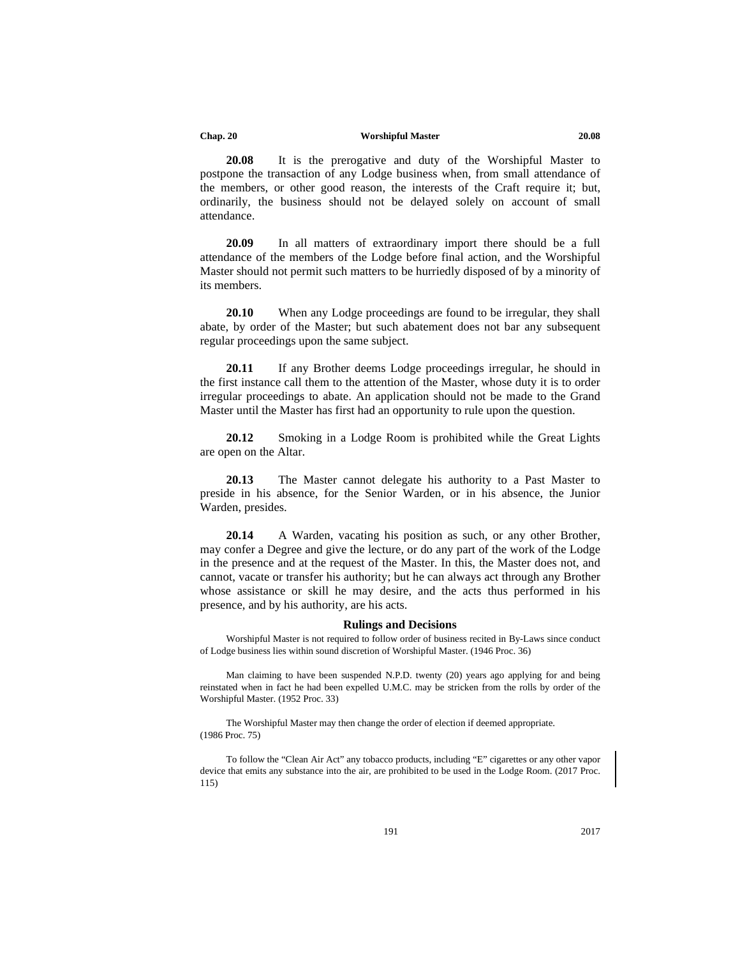#### **Chap. 20 Worshipful Master 20.08**

**20.08** It is the prerogative and duty of the Worshipful Master to postpone the transaction of any Lodge business when, from small attendance of the members, or other good reason, the interests of the Craft require it; but, ordinarily, the business should not be delayed solely on account of small attendance.

**20.09** In all matters of extraordinary import there should be a full attendance of the members of the Lodge before final action, and the Worshipful Master should not permit such matters to be hurriedly disposed of by a minority of its members.

**20.10** When any Lodge proceedings are found to be irregular, they shall abate, by order of the Master; but such abatement does not bar any subsequent regular proceedings upon the same subject.

**20.11** If any Brother deems Lodge proceedings irregular, he should in the first instance call them to the attention of the Master, whose duty it is to order irregular proceedings to abate. An application should not be made to the Grand Master until the Master has first had an opportunity to rule upon the question.

**20.12** Smoking in a Lodge Room is prohibited while the Great Lights are open on the Altar.

**20.13** The Master cannot delegate his authority to a Past Master to preside in his absence, for the Senior Warden, or in his absence, the Junior Warden, presides.

**20.14** A Warden, vacating his position as such, or any other Brother, may confer a Degree and give the lecture, or do any part of the work of the Lodge in the presence and at the request of the Master. In this, the Master does not, and cannot, vacate or transfer his authority; but he can always act through any Brother whose assistance or skill he may desire, and the acts thus performed in his presence, and by his authority, are his acts.

## **Rulings and Decisions**

Worshipful Master is not required to follow order of business recited in By-Laws since conduct of Lodge business lies within sound discretion of Worshipful Master. (1946 Proc. 36)

Man claiming to have been suspended N.P.D. twenty (20) years ago applying for and being reinstated when in fact he had been expelled U.M.C. may be stricken from the rolls by order of the Worshipful Master. (1952 Proc. 33)

The Worshipful Master may then change the order of election if deemed appropriate. (1986 Proc. 75)

To follow the "Clean Air Act" any tobacco products, including "E" cigarettes or any other vapor device that emits any substance into the air, are prohibited to be used in the Lodge Room. (2017 Proc. 115)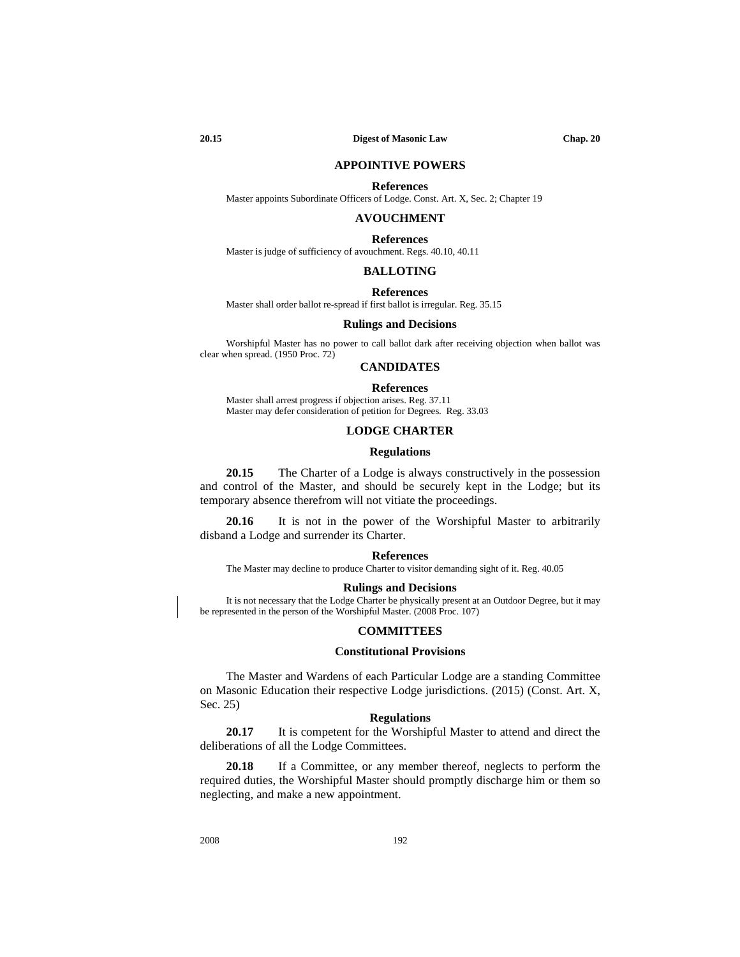## **APPOINTIVE POWERS**

#### **References**

Master appoints Subordinate Officers of Lodge. Const. Art. X, Sec. 2; Chapter 19

## **AVOUCHMENT**

**References** Master is judge of sufficiency of avouchment. Regs. 40.10, 40.11

## **BALLOTING**

#### **References**

Master shall order ballot re-spread if first ballot is irregular. Reg. 35.15

## **Rulings and Decisions**

Worshipful Master has no power to call ballot dark after receiving objection when ballot was clear when spread. (1950 Proc. 72)

## **CANDIDATES**

#### **References**

Master shall arrest progress if objection arises. Reg. 37.11 Master may defer consideration of petition for Degrees. Reg. 33.03

# **LODGE CHARTER**

## **Regulations**

**20.15** The Charter of a Lodge is always constructively in the possession and control of the Master, and should be securely kept in the Lodge; but its temporary absence therefrom will not vitiate the proceedings.

**20.16** It is not in the power of the Worshipful Master to arbitrarily disband a Lodge and surrender its Charter.

#### **References**

The Master may decline to produce Charter to visitor demanding sight of it. Reg. 40.05

#### **Rulings and Decisions**

It is not necessary that the Lodge Charter be physically present at an Outdoor Degree, but it may be represented in the person of the Worshipful Master. (2008 Proc. 107)

#### **COMMITTEES**

## **Constitutional Provisions**

The Master and Wardens of each Particular Lodge are a standing Committee on Masonic Education their respective Lodge jurisdictions. (2015) (Const. Art. X, Sec. 25)

### **Regulations**

**20.17** It is competent for the Worshipful Master to attend and direct the deliberations of all the Lodge Committees.

**20.18** If a Committee, or any member thereof, neglects to perform the required duties, the Worshipful Master should promptly discharge him or them so neglecting, and make a new appointment.